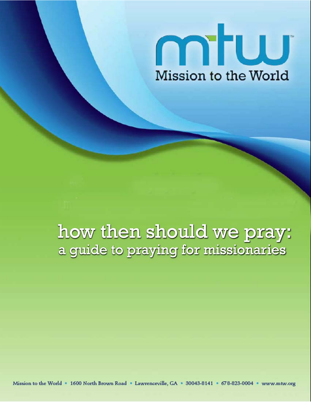

# how then should we pray: a guide to praying for missionaries

Mission to the World . 1600 North Brown Road . Lawrenceville, GA . 30043-8141 . 678-823-0004 . www.mtw.org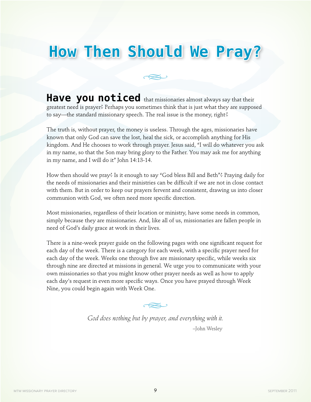# **How Then Should We Pray?**

**Have you noticed** that missionaries almost always say that their greatest need is prayer? Perhaps you sometimes think that is just what they are supposed to say—the standard missionary speech. The real issue is the money, right?

The truth is, without prayer, the money is useless. Through the ages, missionaries have known that only God can save the lost, heal the sick, or accomplish anything for His kingdom. And He chooses to work through prayer. Jesus said, "I will do whatever you ask in my name, so that the Son may bring glory to the Father. You may ask me for anything in my name, and I will do it" John 14:13-14.

How then should we pray? Is it enough to say "God bless Bill and Beth"? Praying daily for the needs of missionaries and their ministries can be difficult if we are not in close contact with them. But in order to keep our prayers fervent and consistent, drawing us into closer communion with God, we often need more specific direction.

Most missionaries, regardless of their location or ministry, have some needs in common, simply because they are missionaries. And, like all of us, missionaries are fallen people in need of God's daily grace at work in their lives.

There is a nine-week prayer guide on the following pages with one significant request for each day of the week. There is a category for each week, with a specific prayer need for each day of the week. Weeks one through five are missionary specific, while weeks six through nine are directed at missions in general. We urge you to communicate with your own missionaries so that you might know other prayer needs as well as how to apply each day's request in even more specific ways. Once you have prayed through Week Nine, you could begin again with Week One.

ىككە

*God does nothing but by prayer, and everything with it.* –John Wesley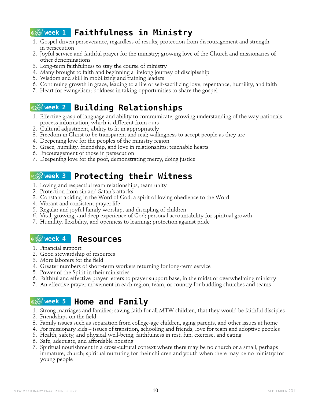# **week 1 Faithfulness in Ministry**

- 1. Gospel-driven perseverance, regardless of results; protection from discouragement and strength in persecution
- 2. Joyful service and faithful prayer for the ministry; growing love of the Church and missionaries of other denominations
- 3. Long-term faithfulness to stay the course of ministry
- 4. Many brought to faith and beginning a lifelong journey of discipleship
- 5. Wisdom and skill in mobilizing and training leaders
- 6. Continuing growth in grace, leading to a life of self-sacrificing love, repentance, humility, and faith
- 7. Heart for evangelism; boldness in taking opportunities to share the gospel

## **week 2 Building Relationships**

- 1. Effective grasp of language and ability to communicate; growing understanding of the way nationals process information, which is different from ours
- 2. Cultural adjustment, ability to fit in appropriately
- 3. Freedom in Christ to be transparent and real; willingness to accept people as they are
- 4. Deepening love for the peoples of the ministry region
- 5. Grace, humility, friendship, and love in relationships; teachable hearts
- 6. Encouragement of those in persecution
- 7. Deepening love for the poor, demonstrating mercy, doing justice

## **week 3 Protecting their Witness**

- 1. Loving and respectful team relationships, team unity
- 2. Protection from sin and Satan's attacks
- 3. Constant abiding in the Word of God; a spirit of loving obedience to the Word
- 4. Vibrant and consistent prayer life
- 5. Regular and joyful family worship, and discipling of children
- 6. Vital, growing, and deep experience of God; personal accountability for spiritual growth
- 7. Humility, flexibility, and openness to learning; protection against pride

#### **week 4 Resources**

- 1. Financial support
- 2. Good stewardship of resources
- 3. More laborers for the field
- 4. Greater numbers of short-term workers returning for long-term service
- 5. Power of the Spirit in their ministries
- 6. Faithful and effective prayer letters to prayer support base, in the midst of overwhelming ministry
- 7. An effective prayer movement in each region, team, or country for budding churches and teams

## **week 5 Home and Family**

- 1. Strong marriages and families; saving faith for all MTW children, that they would be faithful disciples
- 2. Friendships on the field
- 3. Family issues such as separation from college-age children, aging parents, and other issues at home
- 4. For missionary kids issues of transition, schooling and friends; love for team and adoptive peoples
- 5. Health, safety, and physical well-being; faithfulness in rest, fun, exercise, and eating
- 6. Safe, adequate, and affordable housing
- 7. Spiritual nourishment in a cross-cultural context where there may be no church or a small, perhaps immature, church; spiritual nurturing for their children and youth when there may be no ministry for young people